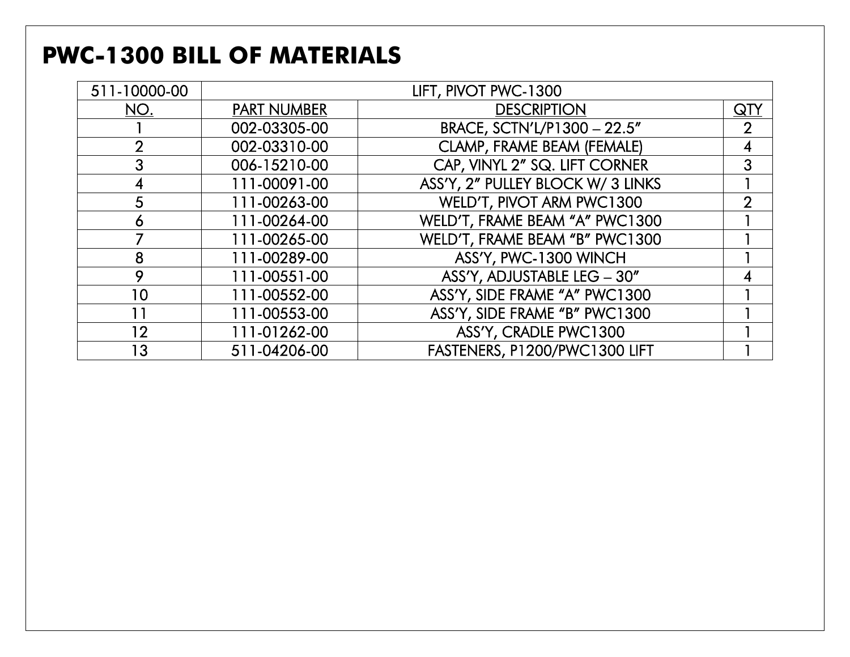#### **PWC-1300 BILL OF MATERIALS**

| 511-10000-00   | LIFT, PIVOT PWC-1300 |                                   |                |
|----------------|----------------------|-----------------------------------|----------------|
| NO.            | <b>PART NUMBER</b>   | <b>DESCRIPTION</b>                | <u>QTY</u>     |
|                | 002-03305-00         | BRACE, SCTN'L/P1300 - 22.5"       | $\overline{2}$ |
| $\overline{2}$ | 002-03310-00         | CLAMP, FRAME BEAM (FEMALE)        | 4              |
| 3              | 006-15210-00         | CAP, VINYL 2" SQ. LIFT CORNER     | 3              |
|                | 111-00091-00         | ASS'Y, 2" PULLEY BLOCK W/ 3 LINKS |                |
| 5              | 111-00263-00         | WELD'T, PIVOT ARM PWC1300         | $\overline{2}$ |
| 6              | 111-00264-00         | WELD'T, FRAME BEAM "A" PWC1300    |                |
|                | 111-00265-00         | WELD'T, FRAME BEAM "B" PWC1300    |                |
| 8              | 111-00289-00         | ASS'Y, PWC-1300 WINCH             |                |
| 9              | 111-00551-00         | ASS'Y, ADJUSTABLE LEG - 30"       | 4              |
| 10             | 111-00552-00         | ASS'Y, SIDE FRAME "A" PWC1300     |                |
| 11             | 111-00553-00         | ASS'Y, SIDE FRAME "B" PWC1300     |                |
| 12             | 111-01262-00         | ASS'Y, CRADLE PWC1300             |                |
| 13             | 511-04206-00         | FASTENERS, P1200/PWC1300 LIFT     |                |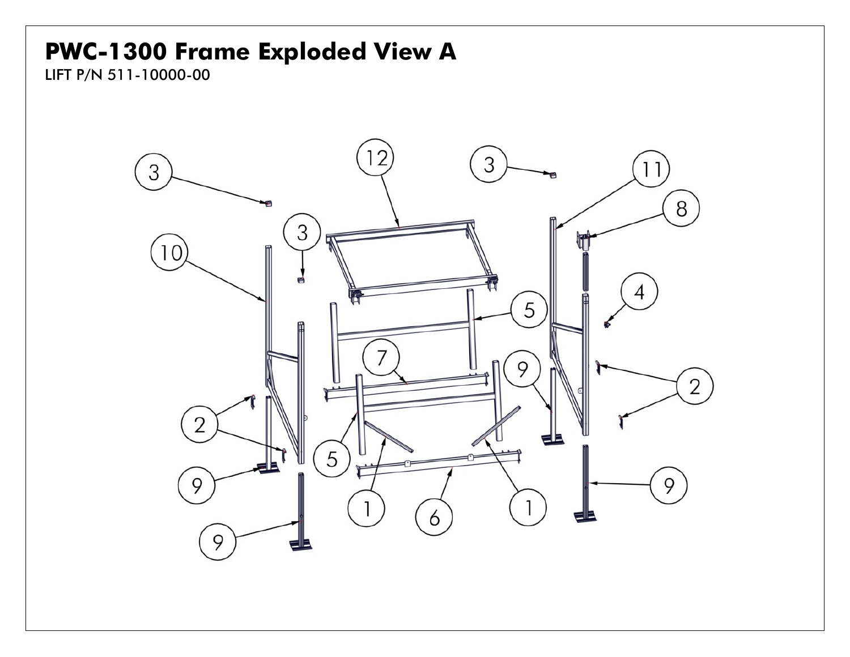### **PWC-1300 Frame Exploded View A**

LIFT P/N 511-10000-00

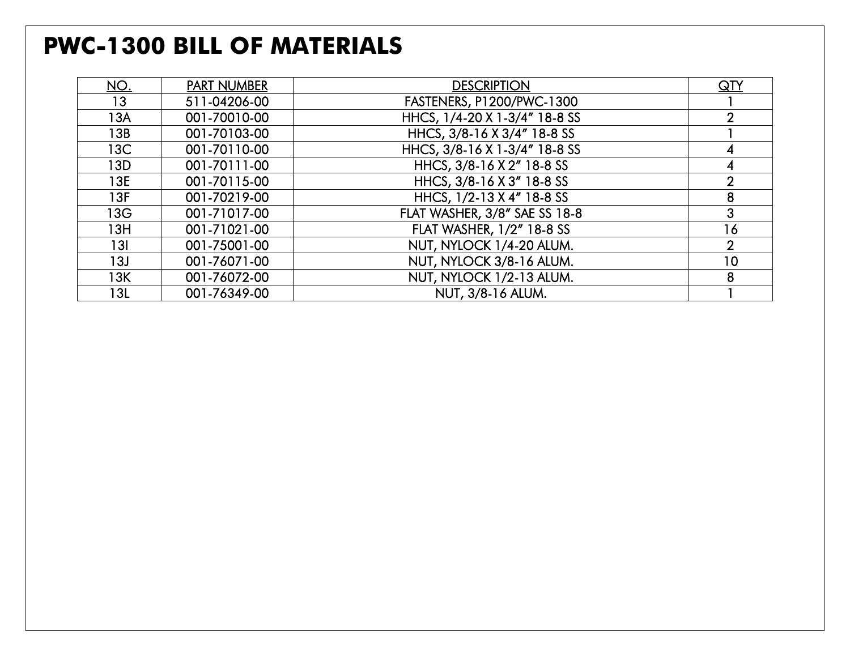#### **PWC-1300 BILL OF MATERIALS**

| NO. | <b>PART NUMBER</b> | <b>DESCRIPTION</b>            | $\overline{\text{QTV}}$ |
|-----|--------------------|-------------------------------|-------------------------|
| 13  | 511-04206-00       | FASTENERS, P1200/PWC-1300     |                         |
| 13A | 001-70010-00       | HHCS, 1/4-20 X 1-3/4" 18-8 SS | $\overline{2}$          |
| 13B | 001-70103-00       | HHCS, 3/8-16 X 3/4" 18-8 SS   |                         |
| 13C | 001-70110-00       | HHCS, 3/8-16 X 1-3/4" 18-8 SS | 4                       |
| 13D | 001-70111-00       | HHCS, 3/8-16 X 2" 18-8 SS     | 4                       |
| 13E | 001-70115-00       | HHCS, 3/8-16 X 3" 18-8 SS     | $\overline{2}$          |
| 13F | 001-70219-00       | HHCS, 1/2-13 X 4" 18-8 SS     | 8                       |
| 13G | 001-71017-00       | FLAT WASHER, 3/8" SAE SS 18-8 | 3                       |
| 13H | 001-71021-00       | FLAT WASHER, 1/2" 18-8 SS     | 16                      |
| 13I | 001-75001-00       | NUT, NYLOCK 1/4-20 ALUM.      | $\overline{2}$          |
| 13J | 001-76071-00       | NUT, NYLOCK 3/8-16 ALUM.      | 10                      |
| 13K | 001-76072-00       | NUT, NYLOCK 1/2-13 ALUM.      | 8                       |
| 13L | 001-76349-00       | NUT, 3/8-16 ALUM.             |                         |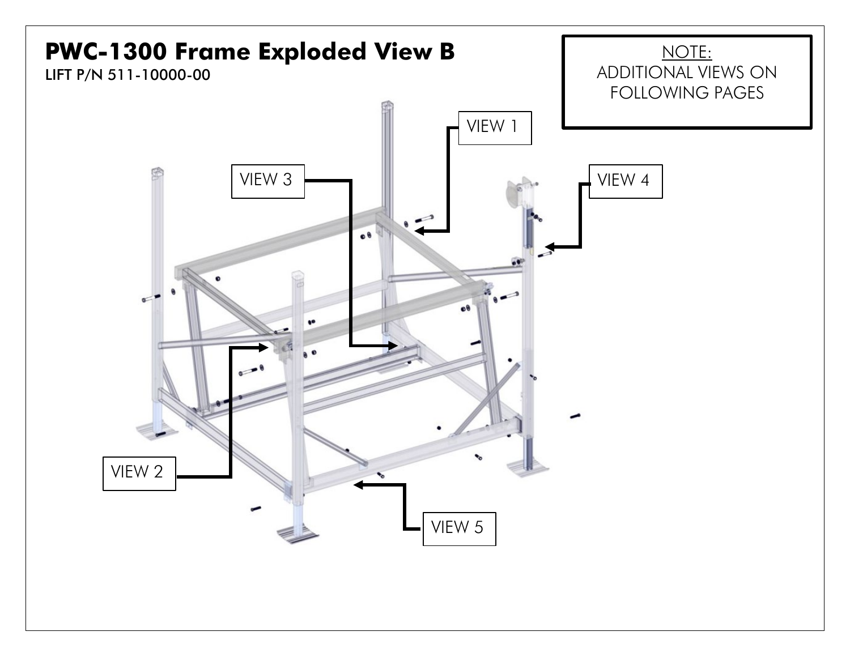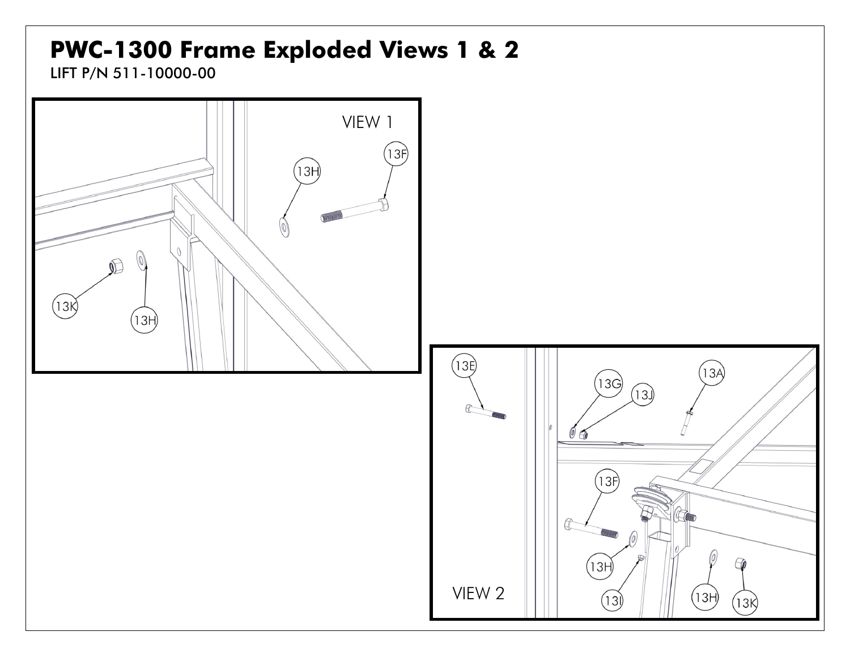## **PWC-1300 Frame Exploded Views 1 & 2**

LIFT P/N 511-10000-00